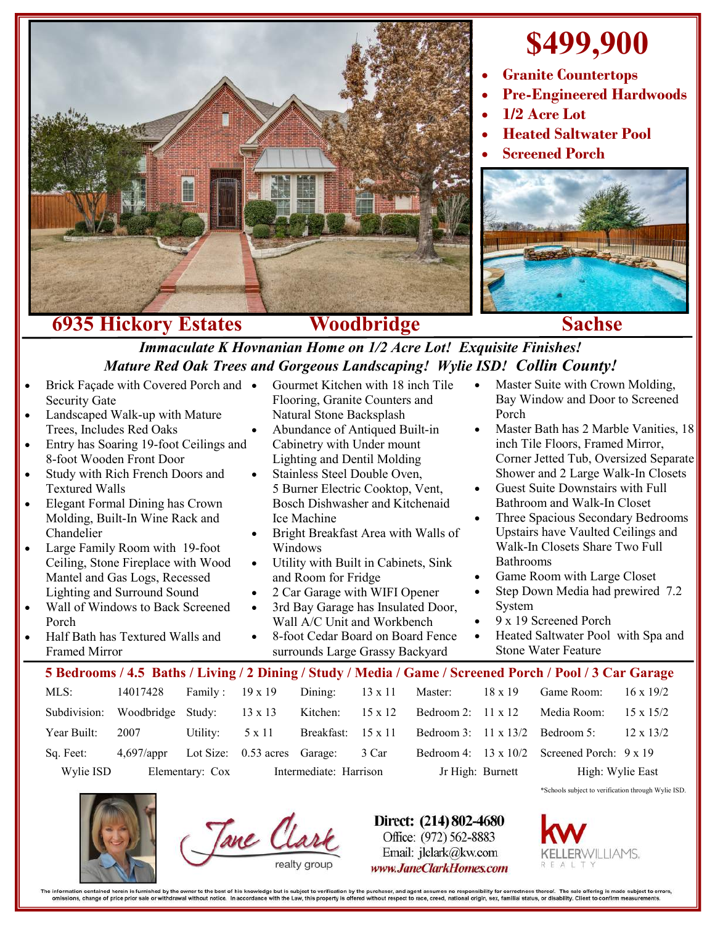

## **\$499,900**

- **Granite Countertops**
- **Pre-Engineered Hardwoods**
- **1/2 Acre Lot**
- **Heated Saltwater Pool**
- **Screened Porch**



## *Immaculate K Hovnanian Home on 1/2 Acre Lot! Exquisite Finishes! Mature Red Oak Trees and Gorgeous Landscaping! Wylie ISD! Collin County!*

- Brick Façade with Covered Porch and  $\bullet$ Security Gate
- Landscaped Walk-up with Mature Trees, Includes Red Oaks
- Entry has Soaring 19-foot Ceilings and 8-foot Wooden Front Door
- Study with Rich French Doors and Textured Walls
- Elegant Formal Dining has Crown Molding, Built-In Wine Rack and Chandelier
- Large Family Room with 19-foot Ceiling, Stone Fireplace with Wood Mantel and Gas Logs, Recessed Lighting and Surround Sound
- Wall of Windows to Back Screened Porch
- Half Bath has Textured Walls and Framed Mirror
- Gourmet Kitchen with 18 inch Tile Flooring, Granite Counters and Natural Stone Backsplash
- Abundance of Antiqued Built-in Cabinetry with Under mount Lighting and Dentil Molding
- Stainless Steel Double Oven, 5 Burner Electric Cooktop, Vent, Bosch Dishwasher and Kitchenaid Ice Machine
- Bright Breakfast Area with Walls of Windows
- Utility with Built in Cabinets, Sink and Room for Fridge
- 2 Car Garage with WIFI Opener
- 3rd Bay Garage has Insulated Door, Wall A/C Unit and Workbench
	- 8-foot Cedar Board on Board Fence surrounds Large Grassy Backyard
- Master Suite with Crown Molding, Bay Window and Door to Screened Porch
- Master Bath has 2 Marble Vanities, 18 inch Tile Floors, Framed Mirror, Corner Jetted Tub, Oversized Separate Shower and 2 Large Walk-In Closets
- Guest Suite Downstairs with Full Bathroom and Walk-In Closet
- Three Spacious Secondary Bedrooms Upstairs have Vaulted Ceilings and Walk-In Closets Share Two Full Bathrooms
- Game Room with Large Closet
- Step Down Media had prewired 7.2 System
- 9 x 19 Screened Porch
- Heated Saltwater Pool with Spa and Stone Water Feature

## **5 Bedrooms / 4.5 Baths / Living / 2 Dining / Study / Media / Game / Screened Porch / Pool / 3 Car Garage**

| MLS:         | 14017428          | Family: $19 \times 19$ |                              | Dining:                 | 13 x 11 | Master:                                | $18 \times 19$ | Game Room:                                                | $16 \times 19/2$ |
|--------------|-------------------|------------------------|------------------------------|-------------------------|---------|----------------------------------------|----------------|-----------------------------------------------------------|------------------|
| Subdivision: | Woodbridge Study: |                        | $13 \times 13$               | Kitchen: $15 \times 12$ |         | Bedroom 2: $11 \times 12$              |                | Media Room:                                               | $15 \times 15/2$ |
| Year Built:  | 2007              | Utility:               | 5 x 11                       | Breakfast: 15 x 11      |         | Bedroom 3: $11 \times 13/2$ Bedroom 5: |                |                                                           | $12 \times 13/2$ |
| Sq. Feet:    | $4,697$ /appr     |                        | Lot Size: 0.53 acres Garage: |                         | 3 Car   |                                        |                | Bedroom 4: $13 \times 10/2$ Screened Porch: $9 \times 19$ |                  |
| Wylie ISD    | Elementary: Cox   |                        | Intermediate: Harrison       |                         |         | Jr High: Burnett                       |                | High: Wylie East                                          |                  |

\*Schools subject to verification through Wylie ISD.



Tane Clar

Direct: (214) 802-4680 Office: (972) 562-8883 Email: jlclark@kw.com www.JaneClarkHomes.com

information contained herein is furnished by the owner to the best of his knowledge but is subject to verification by the purchaser, and agent assumes no responsibility for correctness thereof. The sale offering is made su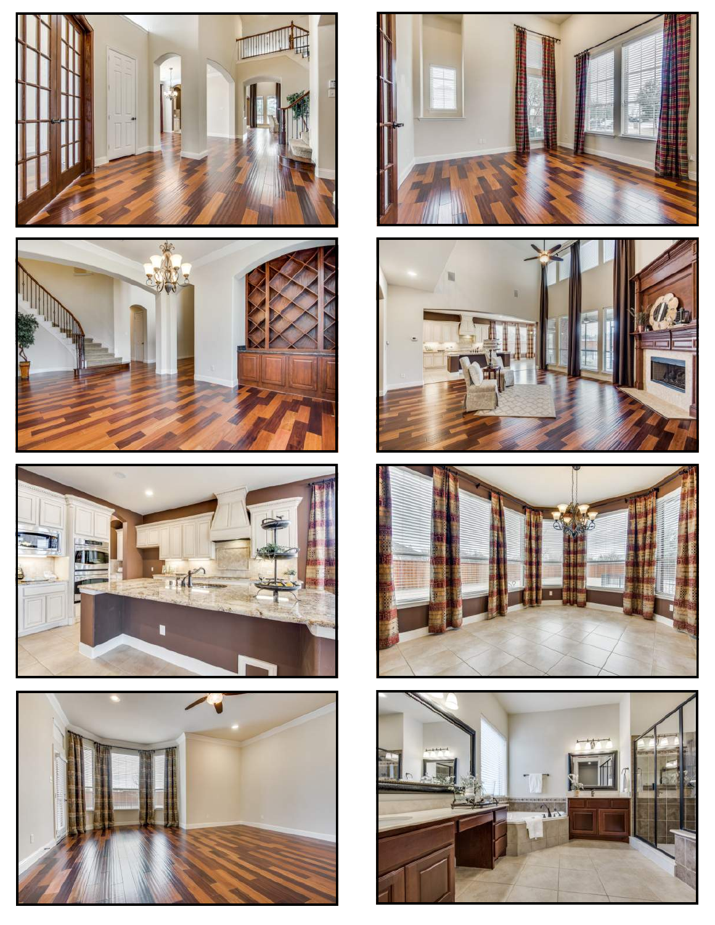













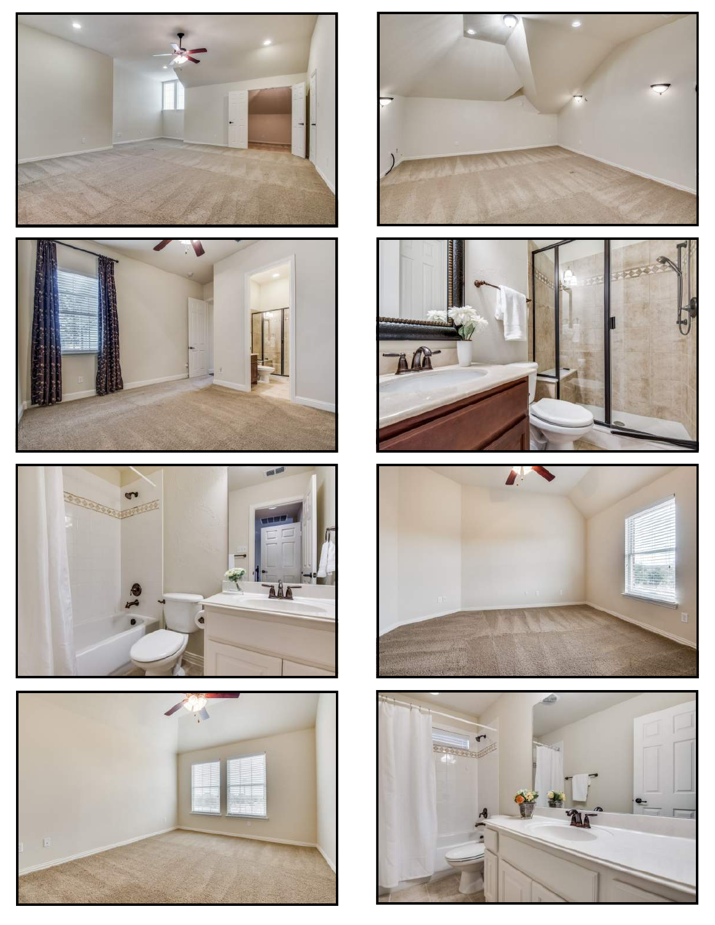